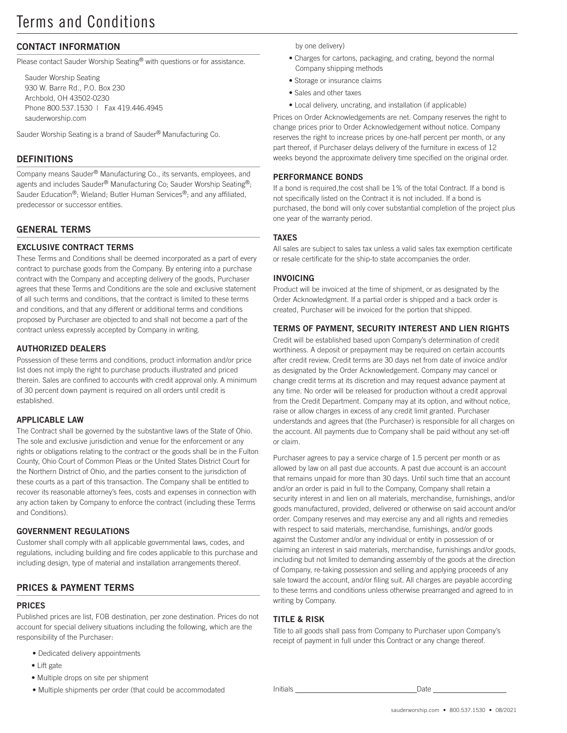## CONTACT INFORMATION

Please contact Sauder Worship Seating<sup>®</sup> with questions or for assistance.

Sauder Worship Seating 930 W. Barre Rd., P.O. Box 230 Archbold, OH 43502-0230 Phone 800.537.1530 | Fax 419.446.4945 sauderworship.com

Sauder Worship Seating is a brand of Sauder® Manufacturing Co.

### **DEFINITIONS**

Company means Sauder® Manufacturing Co., its servants, employees, and agents and includes Sauder® Manufacturing Co; Sauder Worship Seating®; Sauder Education®; Wieland; Butler Human Services®; and any affiliated, predecessor or successor entities.

## GENERAL TERMS

## EXCLUSIVE CONTRACT TERMS

These Terms and Conditions shall be deemed incorporated as a part of every contract to purchase goods from the Company. By entering into a purchase contract with the Company and accepting delivery of the goods, Purchaser agrees that these Terms and Conditions are the sole and exclusive statement of all such terms and conditions, that the contract is limited to these terms and conditions, and that any different or additional terms and conditions proposed by Purchaser are objected to and shall not become a part of the contract unless expressly accepted by Company in writing.

#### AUTHORIZED DEALERS

Possession of these terms and conditions, product information and/or price list does not imply the right to purchase products illustrated and priced therein. Sales are confined to accounts with credit approval only. A minimum of 30 percent down payment is required on all orders until credit is established.

#### APPLICABLE LAW

The Contract shall be governed by the substantive laws of the State of Ohio. The sole and exclusive jurisdiction and venue for the enforcement or any rights or obligations relating to the contract or the goods shall be in the Fulton County, Ohio Court of Common Pleas or the United States District Court for the Northern District of Ohio, and the parties consent to the jurisdiction of these courts as a part of this transaction. The Company shall be entitled to recover its reasonable attorney's fees, costs and expenses in connection with any action taken by Company to enforce the contract (including these Terms and Conditions).

#### GOVERNMENT REGULATIONS

Customer shall comply with all applicable governmental laws, codes, and regulations, including building and fire codes applicable to this purchase and including design, type of material and installation arrangements thereof.

## PRICES & PAYMENT TERMS

## PRICES

Published prices are list, FOB destination, per zone destination. Prices do not account for special delivery situations including the following, which are the responsibility of the Purchaser:

- Dedicated delivery appointments
- Lift gate
- Multiple drops on site per shipment
- Multiple shipments per order (that could be accommodated Initials Date

by one delivery)

- Charges for cartons, packaging, and crating, beyond the normal Company shipping methods
- Storage or insurance claims
- Sales and other taxes
- Local delivery, uncrating, and installation (if applicable)

Prices on Order Acknowledgements are net. Company reserves the right to change prices prior to Order Acknowledgement without notice. Company reserves the right to increase prices by one-half percent per month, or any part thereof, if Purchaser delays delivery of the furniture in excess of 12 weeks beyond the approximate delivery time specified on the original order.

#### PERFORMANCE BONDS

If a bond is required,the cost shall be 1% of the total Contract. If a bond is not specifically listed on the Contract it is not included. If a bond is purchased, the bond will only cover substantial completion of the project plus one year of the warranty period.

#### TAXES

All sales are subject to sales tax unless a valid sales tax exemption certificate or resale certificate for the ship-to state accompanies the order.

#### INVOICING

Product will be invoiced at the time of shipment, or as designated by the Order Acknowledgment. If a partial order is shipped and a back order is created, Purchaser will be invoiced for the portion that shipped.

#### TERMS OF PAYMENT, SECURITY INTEREST AND LIEN RIGHTS

Credit will be established based upon Company's determination of credit worthiness. A deposit or prepayment may be required on certain accounts after credit review. Credit terms are 30 days net from date of invoice and/or as designated by the Order Acknowledgement. Company may cancel or change credit terms at its discretion and may request advance payment at any time. No order will be released for production without a credit approval from the Credit Department. Company may at its option, and without notice, raise or allow charges in excess of any credit limit granted. Purchaser understands and agrees that (the Purchaser) is responsible for all charges on the account. All payments due to Company shall be paid without any set-off or claim.

Purchaser agrees to pay a service charge of 1.5 percent per month or as allowed by law on all past due accounts. A past due account is an account that remains unpaid for more than 30 days. Until such time that an account and/or an order is paid in full to the Company, Company shall retain a security interest in and lien on all materials, merchandise, furnishings, and/or goods manufactured, provided, delivered or otherwise on said account and/or order. Company reserves and may exercise any and all rights and remedies with respect to said materials, merchandise, furnishings, and/or goods against the Customer and/or any individual or entity in possession of or claiming an interest in said materials, merchandise, furnishings and/or goods, including but not limited to demanding assembly of the goods at the direction of Company, re-taking possession and selling and applying proceeds of any sale toward the account, and/or filing suit. All charges are payable according to these terms and conditions unless otherwise prearranged and agreed to in writing by Company.

#### TITLE & RISK

Title to all goods shall pass from Company to Purchaser upon Company's receipt of payment in full under this Contract or any change thereof.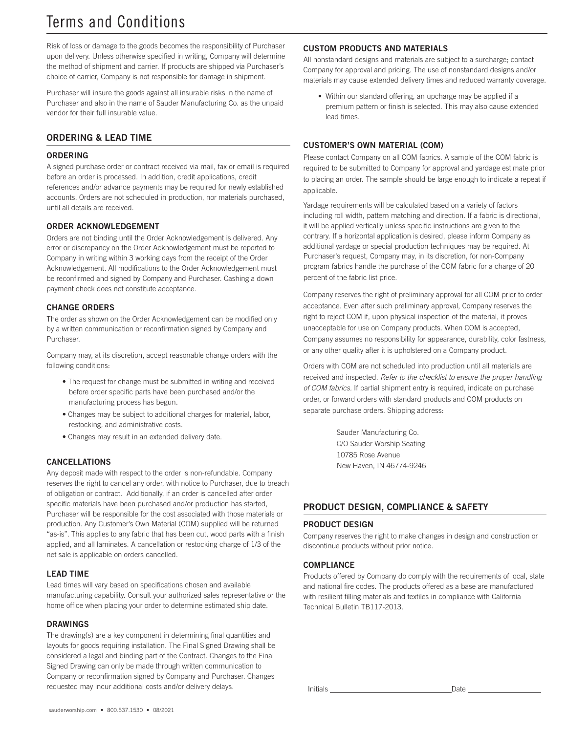# Terms and Conditions

Risk of loss or damage to the goods becomes the responsibility of Purchaser upon delivery. Unless otherwise specified in writing, Company will determine the method of shipment and carrier. If products are shipped via Purchaser's choice of carrier, Company is not responsible for damage in shipment.

Purchaser will insure the goods against all insurable risks in the name of Purchaser and also in the name of Sauder Manufacturing Co. as the unpaid vendor for their full insurable value.

## ORDERING & LEAD TIME

## ORDERING

A signed purchase order or contract received via mail, fax or email is required before an order is processed. In addition, credit applications, credit references and/or advance payments may be required for newly established accounts. Orders are not scheduled in production, nor materials purchased, until all details are received.

## ORDER ACKNOWLEDGEMENT

Orders are not binding until the Order Acknowledgement is delivered. Any error or discrepancy on the Order Acknowledgement must be reported to Company in writing within 3 working days from the receipt of the Order Acknowledgement. All modifications to the Order Acknowledgement must be reconfirmed and signed by Company and Purchaser. Cashing a down payment check does not constitute acceptance.

## CHANGE ORDERS

The order as shown on the Order Acknowledgement can be modified only by a written communication or reconfirmation signed by Company and Purchaser.

Company may, at its discretion, accept reasonable change orders with the following conditions:

- The request for change must be submitted in writing and received before order specific parts have been purchased and/or the manufacturing process has begun.
- Changes may be subject to additional charges for material, labor, restocking, and administrative costs.
- Changes may result in an extended delivery date.

## CANCELLATIONS

Any deposit made with respect to the order is non-refundable. Company reserves the right to cancel any order, with notice to Purchaser, due to breach of obligation or contract. Additionally, if an order is cancelled after order specific materials have been purchased and/or production has started, Purchaser will be responsible for the cost associated with those materials or production. Any Customer's Own Material (COM) supplied will be returned "as-is''. This applies to any fabric that has been cut, wood parts with a finish applied, and all laminates. A cancellation or restocking charge of 1/3 of the net sale is applicable on orders cancelled.

## LEAD TIME

Lead times will vary based on specifications chosen and available manufacturing capability. Consult your authorized sales representative or the home office when placing your order to determine estimated ship date.

## DRAWINGS

The drawing(s) are a key component in determining final quantities and layouts for goods requiring installation. The Final Signed Drawing shall be considered a legal and binding part of the Contract. Changes to the Final Signed Drawing can only be made through written communication to Company or reconfirmation signed by Company and Purchaser. Changes requested may incur additional costs and/or delivery delays.

## CUSTOM PRODUCTS AND MATERIALS

All nonstandard designs and materials are subject to a surcharge; contact Company for approval and pricing. The use of nonstandard designs and/or materials may cause extended delivery times and reduced warranty coverage.

• Within our standard offering, an upcharge may be applied if a premium pattern or finish is selected. This may also cause extended lead times.

## CUSTOMER'S OWN MATERIAL (COM)

Please contact Company on all COM fabrics. A sample of the COM fabric is required to be submitted to Company for approval and yardage estimate prior to placing an order. The sample should be large enough to indicate a repeat if applicable.

Yardage requirements will be calculated based on a variety of factors including roll width, pattern matching and direction. If a fabric is directional, it will be applied vertically unless specific instructions are given to the contrary. If a horizontal application is desired, please inform Company as additional yardage or special production techniques may be required. At Purchaser's request, Company may, in its discretion, for non-Company program fabrics handle the purchase of the COM fabric for a charge of 20 percent of the fabric list price.

Company reserves the right of preliminary approval for all COM prior to order acceptance. Even after such preliminary approval, Company reserves the right to reject COM if, upon physical inspection of the material, it proves unacceptable for use on Company products. When COM is accepted, Company assumes no responsibility for appearance, durability, color fastness, or any other quality after it is upholstered on a Company product.

Orders with COM are not scheduled into production until all materials are received and inspected. *Refer to the checklist to ensure the proper handling of COM fabrics.* If partial shipment entry is required, indicate on purchase order, or forward orders with standard products and COM products on separate purchase orders. Shipping address:

> Sauder Manufacturing Co. C/O Sauder Worship Seating 10785 Rose Avenue New Haven, IN 46774-9246

## PRODUCT DESIGN, COMPLIANCE & SAFETY

## PRODUCT DESIGN

Company reserves the right to make changes in design and construction or discontinue products without prior notice.

#### **COMPLIANCE**

Products offered by Company do comply with the requirements of local, state and national fire codes. The products offered as a base are manufactured with resilient filling materials and textiles in compliance with California Technical Bulletin TB117-2013.

Initials **Date**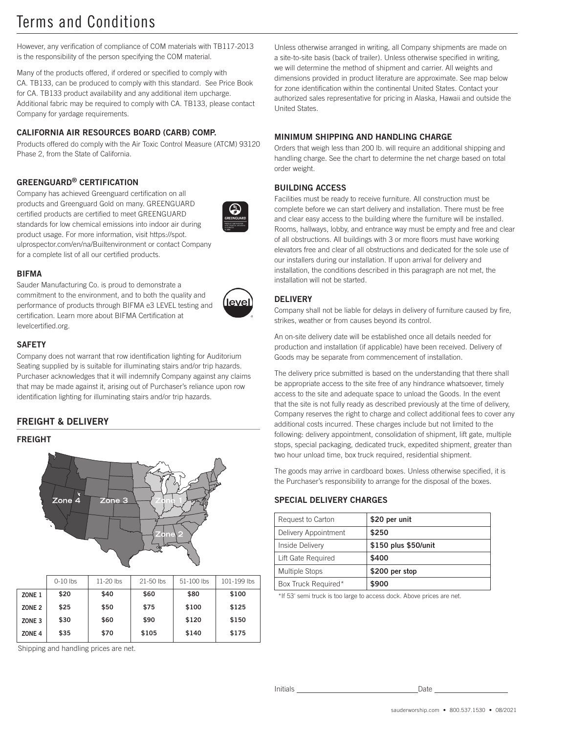# Terms and Conditions

However, any verification of compliance of COM materials with TB117-2013 is the responsibility of the person specifying the COM material.

Many of the products offered, if ordered or specified to comply with CA. TB133, can be produced to comply with this standard. See Price Book for CA. TB133 product availability and any additional item upcharge. Additional fabric may be required to comply with CA. TB133, please contact Company for yardage requirements.

## CALIFORNIA AIR RESOURCES BOARD (CARB) COMP.

Products offered do comply with the Air Toxic Control Measure (ATCM) 93120 Phase 2, from the State of California.

## GREENGUARD® CERTIFICATION

Company has achieved Greenguard certification on all products and Greenguard Gold on many. GREENGUARD certified products are certified to meet GREENGUARD standards for low chemical emissions into indoor air during product usage. For more information, visit https://spot. ulprospector.com/en/na/Builtenvironment or contact Company for a complete list of all our certified products.



#### **BIFMA**

Sauder Manufacturing Co. is proud to demonstrate a commitment to the environment, and to both the quality and performance of products through BIFMA e3 LEVEL testing and certification. Learn more about BIFMA Certification at levelcertified.org.



## **SAFETY**

Company does not warrant that row identification lighting for Auditorium Seating supplied by is suitable for illuminating stairs and/or trip hazards. Purchaser acknowledges that it will indemnify Company against any claims that may be made against it, arising out of Purchaser's reliance upon row identification lighting for illuminating stairs and/or trip hazards.

## FREIGHT & DELIVERY

#### FREIGHT



|                   | $0-10$ lbs | 11-20 lbs | $21 - 50$ lbs | 51-100 lbs | 101-199 lbs |
|-------------------|------------|-----------|---------------|------------|-------------|
| ZONE <sub>1</sub> | \$20       | \$40      | \$60          | \$80       | \$100       |
| ZONE <sub>2</sub> | \$25       | \$50      | \$75          | \$100      | \$125       |
| ZONE <sub>3</sub> | \$30       | \$60      | \$90          | \$120      | \$150       |
| ZONE <sub>4</sub> | \$35       | \$70      | \$105         | \$140      | \$175       |

Shipping and handling prices are net.

Unless otherwise arranged in writing, all Company shipments are made on a site-to-site basis (back of trailer). Unless otherwise specified in writing, we will determine the method of shipment and carrier. All weights and dimensions provided in product literature are approximate. See map below for zone identification within the continental United States. Contact your authorized sales representative for pricing in Alaska, Hawaii and outside the United States.

### MINIMUM SHIPPING AND HANDLING CHARGE

Orders that weigh less than 200 lb. will require an additional shipping and handling charge. See the chart to determine the net charge based on total order weight.

#### BUILDING ACCESS

Facilities must be ready to receive furniture. All construction must be complete before we can start delivery and installation. There must be free and clear easy access to the building where the furniture will be installed. Rooms, hallways, lobby, and entrance way must be empty and free and clear of all obstructions. All buildings with 3 or more floors must have working elevators free and clear of all obstructions and dedicated for the sole use of our installers during our installation. If upon arrival for delivery and installation, the conditions described in this paragraph are not met, the installation will not be started.

#### **DELIVERY**

Company shall not be liable for delays in delivery of furniture caused by fire, strikes, weather or from causes beyond its control.

An on-site delivery date will be established once all details needed for production and installation (if applicable) have been received. Delivery of Goods may be separate from commencement of installation.

The delivery price submitted is based on the understanding that there shall be appropriate access to the site free of any hindrance whatsoever, timely access to the site and adequate space to unload the Goods. In the event that the site is not fully ready as described previously at the time of delivery, Company reserves the right to charge and collect additional fees to cover any additional costs incurred. These charges include but not limited to the following: delivery appointment, consolidation of shipment, lift gate, multiple stops, special packaging, dedicated truck, expedited shipment, greater than two hour unload time, box truck required, residential shipment.

The goods may arrive in cardboard boxes. Unless otherwise specified, it is the Purchaser's responsibility to arrange for the disposal of the boxes.

#### SPECIAL DELIVERY CHARGES

| Request to Carton     | \$20 per unit        |  |
|-----------------------|----------------------|--|
| Delivery Appointment  | \$250                |  |
| Inside Delivery       | \$150 plus \$50/unit |  |
| Lift Gate Required    | \$400                |  |
| <b>Multiple Stops</b> | \$200 per stop       |  |
| Box Truck Required*   | \$900                |  |

\*If 53' semi truck is too large to access dock. Above prices are net.

Initials **Date**